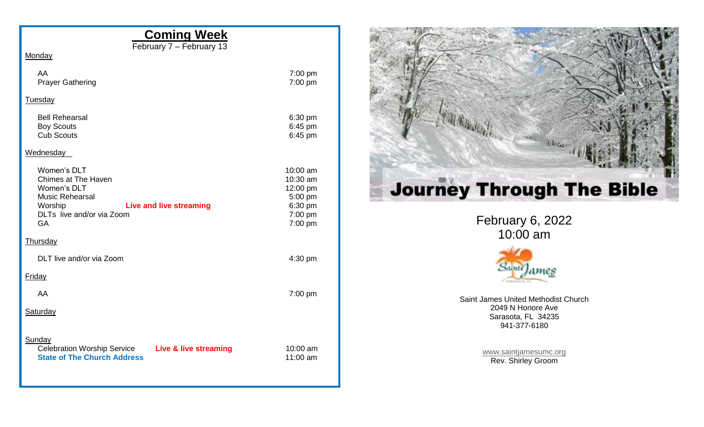| <b>Coming Week</b><br>February 7 - February 13                                                                                                                     |                                                                              |
|--------------------------------------------------------------------------------------------------------------------------------------------------------------------|------------------------------------------------------------------------------|
| Monday                                                                                                                                                             |                                                                              |
| AA<br><b>Prayer Gathering</b>                                                                                                                                      | 7:00 pm<br>7:00 pm                                                           |
| <b>Tuesday</b>                                                                                                                                                     |                                                                              |
| <b>Bell Rehearsal</b><br><b>Boy Scouts</b><br><b>Cub Scouts</b>                                                                                                    | 6:30 pm<br>6:45 pm<br>6:45 pm                                                |
| Wednesday                                                                                                                                                          |                                                                              |
| Women's DLT<br>Chimes at The Haven<br>Women's DLT<br><b>Music Rehearsal</b><br>Worship<br><b>Live and live streaming</b><br>DLTs live and/or via Zoom<br><b>GA</b> | 10:00 am<br>10:30 am<br>12:00 pm<br>5:00 pm<br>6:30 pm<br>7:00 pm<br>7:00 pm |
| Thursday                                                                                                                                                           |                                                                              |
| DLT live and/or via Zoom                                                                                                                                           | 4:30 pm                                                                      |
| Friday                                                                                                                                                             |                                                                              |
| AA                                                                                                                                                                 | 7:00 pm                                                                      |
| Saturday                                                                                                                                                           |                                                                              |
| Sunday<br><b>Celebration Worship Service</b><br>Live & live streaming<br><b>State of The Church Address</b>                                                        | 10:00 am<br>11:00 am                                                         |



February 6, 2022 10:00 am



Saint James United Methodist Church 2049 N Honore Ave Sarasota, FL 34235 941-377-6180

> [www.saintjamesumc.org](http://www.saintjamesumc.org/) Rev. Shirley Groom